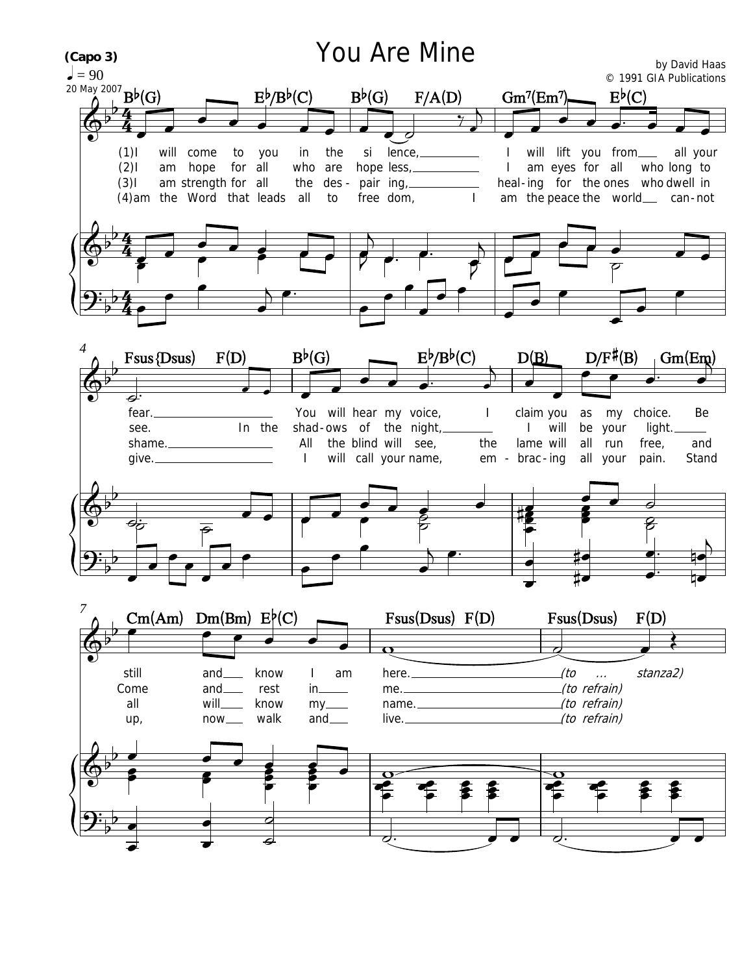